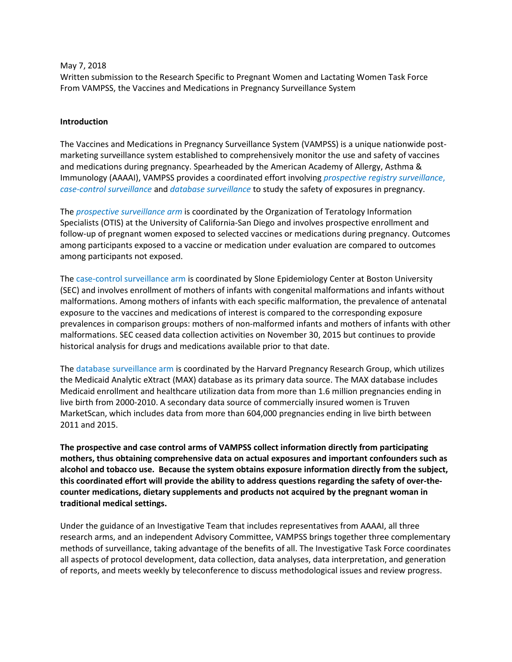May 7, 2018

Written submission to the Research Specific to Pregnant Women and Lactating Women Task Force From VAMPSS, the Vaccines and Medications in Pregnancy Surveillance System

## Introduction

 The Vaccines and Medications in Pregnancy Surveillance System (VAMPSS) is a unique nationwide post- marketing surveillance system established to comprehensively monitor the use and safety of vaccines and medications during pregnancy. Spearheaded by the American Academy of Allergy, Asthma & Immunology (AAAAI), VAMPSS provides a coordinated effort involving *prospective registry surveillance*, case-control surveillance and database surveillance to study the safety of exposures in pregnancy.

The *prospective surveillance arm* is coordinated by the Organization of Teratology Information Specialists (OTIS) at the University of California-San Diego and involves prospective enrollment and follow-up of pregnant women exposed to selected vaccines or medications during pregnancy. Outcomes among participants exposed to a vaccine or medication under evaluation are compared to outcomes among participants not exposed.

The case-control surveillance arm is coordinated by Slone Epidemiology Center at Boston University (SEC) and involves enrollment of mothers of infants with congenital malformations and infants without malformations. Among mothers of infants with each specific malformation, the prevalence of antenatal exposure to the vaccines and medications of interest is compared to the corresponding exposure prevalences in comparison groups: mothers of non-malformed infants and mothers of infants with other malformations. SEC ceased data collection activities on November 30, 2015 but continues to provide historical analysis for drugs and medications available prior to that date.

The database surveillance arm is coordinated by the Harvard Pregnancy Research Group, which utilizes the Medicaid Analytic eXtract (MAX) database as its primary data source. The MAX database includes Medicaid enrollment and healthcare utilization data from more than 1.6 million pregnancies ending in live birth from 2000-2010. A secondary data source of commercially insured women is Truven MarketScan, which includes data from more than 604,000 pregnancies ending in live birth between 2011 and 2015.

The prospective and case control arms of VAMPSS collect information directly from participating mothers, thus obtaining comprehensive data on actual exposures and important confounders such as alcohol and tobacco use. Because the system obtains exposure information directly from the subject, this coordinated effort will provide the ability to address questions regarding the safety of over-thecounter medications, dietary supplements and products not acquired by the pregnant woman in traditional medical settings.

 Under the guidance of an Investigative Team that includes representatives from AAAAI, all three research arms, and an independent Advisory Committee, VAMPSS brings together three complementary methods of surveillance, taking advantage of the benefits of all. The Investigative Task Force coordinates all aspects of protocol development, data collection, data analyses, data interpretation, and generation of reports, and meets weekly by teleconference to discuss methodological issues and review progress.